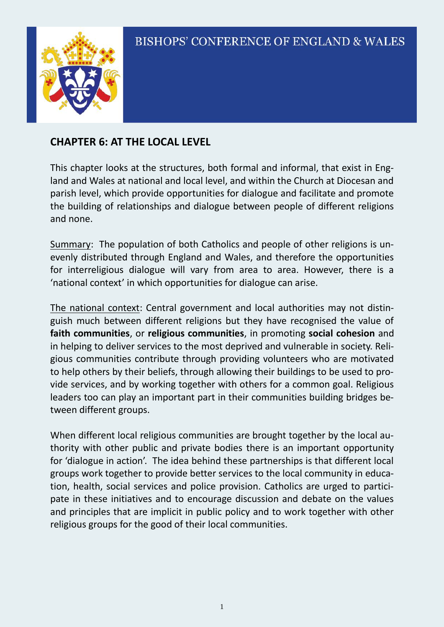

### **CHAPTER 6: AT THE LOCAL LEVEL**

This chapter looks at the structures, both formal and informal, that exist in England and Wales at national and local level, and within the Church at Diocesan and parish level, which provide opportunities for dialogue and facilitate and promote the building of relationships and dialogue between people of different religions and none.

Summary: The population of both Catholics and people of other religions is unevenly distributed through England and Wales, and therefore the opportunities for interreligious dialogue will vary from area to area. However, there is a 'national context' in which opportunities for dialogue can arise.

The national context: Central government and local authorities may not distinguish much between different religions but they have recognised the value of **faith communities**, or **religious communities**, in promoting **social cohesion** and in helping to deliver services to the most deprived and vulnerable in society. Religious communities contribute through providing volunteers who are motivated to help others by their beliefs, through allowing their buildings to be used to provide services, and by working together with others for a common goal. Religious leaders too can play an important part in their communities building bridges between different groups.

When different local religious communities are brought together by the local authority with other public and private bodies there is an important opportunity for 'dialogue in action'. The idea behind these partnerships is that different local groups work together to provide better services to the local community in education, health, social services and police provision. Catholics are urged to participate in these initiatives and to encourage discussion and debate on the values and principles that are implicit in public policy and to work together with other religious groups for the good of their local communities.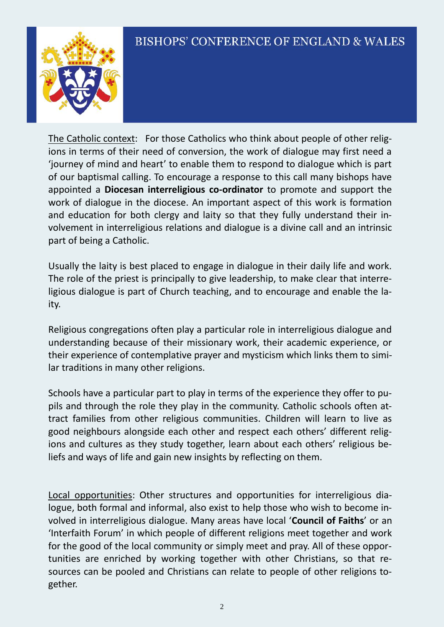

The Catholic context: For those Catholics who think about people of other religions in terms of their need of conversion, the work of dialogue may first need a 'journey of mind and heart' to enable them to respond to dialogue which is part of our baptismal calling. To encourage a response to this call many bishops have appointed a **Diocesan interreligious co-ordinator** to promote and support the work of dialogue in the diocese. An important aspect of this work is formation and education for both clergy and laity so that they fully understand their involvement in interreligious relations and dialogue is a divine call and an intrinsic part of being a Catholic.

Usually the laity is best placed to engage in dialogue in their daily life and work. The role of the priest is principally to give leadership, to make clear that interreligious dialogue is part of Church teaching, and to encourage and enable the laity.

Religious congregations often play a particular role in interreligious dialogue and understanding because of their missionary work, their academic experience, or their experience of contemplative prayer and mysticism which links them to similar traditions in many other religions.

Schools have a particular part to play in terms of the experience they offer to pupils and through the role they play in the community. Catholic schools often attract families from other religious communities. Children will learn to live as good neighbours alongside each other and respect each others' different religions and cultures as they study together, learn about each others' religious beliefs and ways of life and gain new insights by reflecting on them.

Local opportunities: Other structures and opportunities for interreligious dialogue, both formal and informal, also exist to help those who wish to become involved in interreligious dialogue. Many areas have local '**Council of Faiths**' or an 'Interfaith Forum' in which people of different religions meet together and work for the good of the local community or simply meet and pray. All of these opportunities are enriched by working together with other Christians, so that resources can be pooled and Christians can relate to people of other religions together.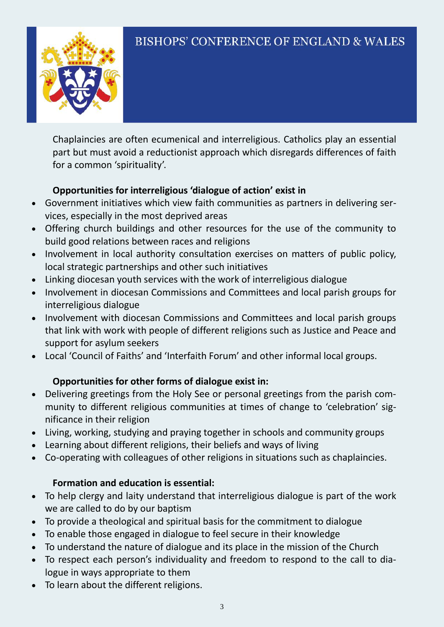

Chaplaincies are often ecumenical and interreligious. Catholics play an essential part but must avoid a reductionist approach which disregards differences of faith for a common 'spirituality'.

#### **Opportunities for interreligious 'dialogue of action' exist in**

- Government initiatives which view faith communities as partners in delivering services, especially in the most deprived areas
- Offering church buildings and other resources for the use of the community to build good relations between races and religions
- Involvement in local authority consultation exercises on matters of public policy, local strategic partnerships and other such initiatives
- Linking diocesan youth services with the work of interreligious dialogue
- Involvement in diocesan Commissions and Committees and local parish groups for interreligious dialogue
- Involvement with diocesan Commissions and Committees and local parish groups that link with work with people of different religions such as Justice and Peace and support for asylum seekers
- Local 'Council of Faiths' and 'Interfaith Forum' and other informal local groups.

#### **Opportunities for other forms of dialogue exist in:**

- Delivering greetings from the Holy See or personal greetings from the parish community to different religious communities at times of change to 'celebration' significance in their religion
- Living, working, studying and praying together in schools and community groups
- Learning about different religions, their beliefs and ways of living
- Co-operating with colleagues of other religions in situations such as chaplaincies.

### **Formation and education is essential:**

- To help clergy and laity understand that interreligious dialogue is part of the work we are called to do by our baptism
- To provide a theological and spiritual basis for the commitment to dialogue
- To enable those engaged in dialogue to feel secure in their knowledge
- To understand the nature of dialogue and its place in the mission of the Church
- To respect each person's individuality and freedom to respond to the call to dialogue in ways appropriate to them
- To learn about the different religions.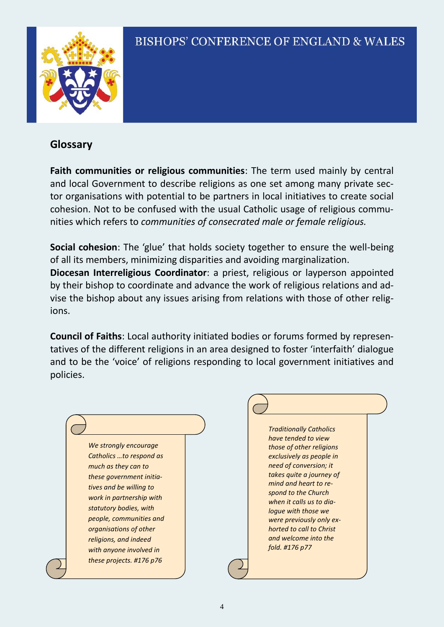

#### **Glossary**

ions.

policies.

**Faith communities or religious communities**: The term used mainly by central and local Government to describe religions as one set among many private sector organisations with potential to be partners in local initiatives to create social cohesion. Not to be confused with the usual Catholic usage of religious communities which refers to *communities of consecrated male or female religious.*

**Social cohesion**: The 'glue' that holds society together to ensure the well-being of all its members, minimizing disparities and avoiding marginalization. **Diocesan Interreligious Coordinator**: a priest, religious or layperson appointed by their bishop to coordinate and advance the work of religious relations and advise the bishop about any issues arising from relations with those of other relig-

**Council of Faiths**: Local authority initiated bodies or forums formed by representatives of the different religions in an area designed to foster 'interfaith' dialogue and to be the 'voice' of religions responding to local government initiatives and

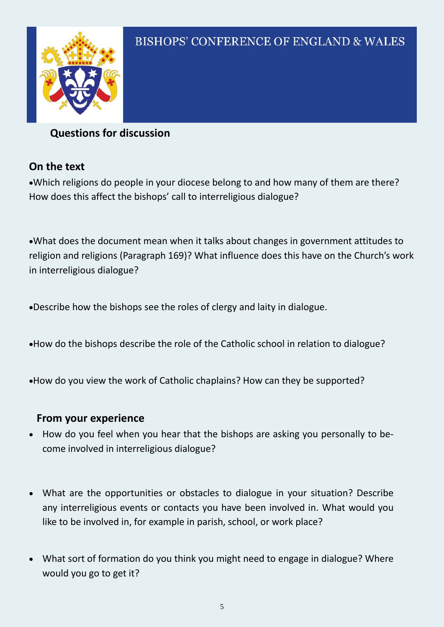

### **Questions for discussion**

### **On the text**

Which religions do people in your diocese belong to and how many of them are there? How does this affect the bishops' call to interreligious dialogue?

What does the document mean when it talks about changes in government attitudes to religion and religions (Paragraph 169)? What influence does this have on the Church's work in interreligious dialogue?

Describe how the bishops see the roles of clergy and laity in dialogue.

- How do the bishops describe the role of the Catholic school in relation to dialogue?
- How do you view the work of Catholic chaplains? How can they be supported?

#### **From your experience**

- How do you feel when you hear that the bishops are asking you personally to become involved in interreligious dialogue?
- What are the opportunities or obstacles to dialogue in your situation? Describe any interreligious events or contacts you have been involved in. What would you like to be involved in, for example in parish, school, or work place?
- What sort of formation do you think you might need to engage in dialogue? Where would you go to get it?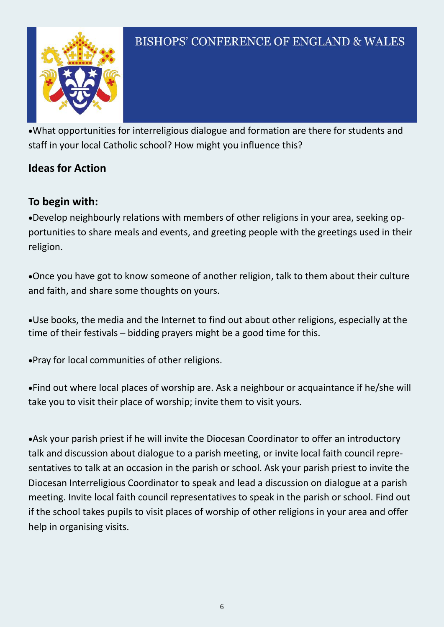

What opportunities for interreligious dialogue and formation are there for students and staff in your local Catholic school? How might you influence this?

### **Ideas for Action**

### **To begin with:**

Develop neighbourly relations with members of other religions in your area, seeking opportunities to share meals and events, and greeting people with the greetings used in their religion.

Once you have got to know someone of another religion, talk to them about their culture and faith, and share some thoughts on yours.

Use books, the media and the Internet to find out about other religions, especially at the time of their festivals – bidding prayers might be a good time for this.

Pray for local communities of other religions.

Find out where local places of worship are. Ask a neighbour or acquaintance if he/she will take you to visit their place of worship; invite them to visit yours.

Ask your parish priest if he will invite the Diocesan Coordinator to offer an introductory talk and discussion about dialogue to a parish meeting, or invite local faith council representatives to talk at an occasion in the parish or school. Ask your parish priest to invite the Diocesan Interreligious Coordinator to speak and lead a discussion on dialogue at a parish meeting. Invite local faith council representatives to speak in the parish or school. Find out if the school takes pupils to visit places of worship of other religions in your area and offer help in organising visits.